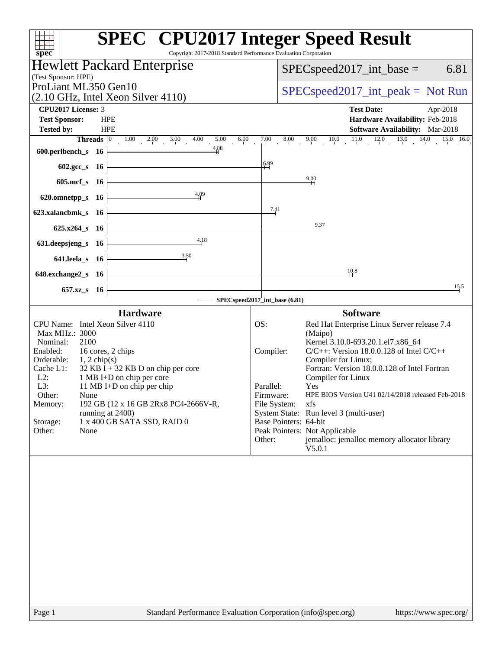|                                                                                                                                                      | <b>SPEC<sup>®</sup></b> CPU2017 Integer Speed Result                              |
|------------------------------------------------------------------------------------------------------------------------------------------------------|-----------------------------------------------------------------------------------|
| Copyright 2017-2018 Standard Performance Evaluation Corporation                                                                                      |                                                                                   |
| spec <sup>®</sup>                                                                                                                                    |                                                                                   |
| <b>Hewlett Packard Enterprise</b>                                                                                                                    | 6.81<br>$SPEC speed2017\_int\_base =$                                             |
| (Test Sponsor: HPE)                                                                                                                                  |                                                                                   |
| ProLiant ML350 Gen10<br>$(2.10 \text{ GHz}, \text{Intel Xeon Silver } 4110)$                                                                         | $SPEC speed2017\_int\_peak = Not Run$                                             |
|                                                                                                                                                      |                                                                                   |
| CPU2017 License: 3<br><b>Test Sponsor:</b><br><b>HPE</b>                                                                                             | <b>Test Date:</b><br>Apr-2018<br>Hardware Availability: Feb-2018                  |
| <b>Tested by:</b><br><b>HPE</b>                                                                                                                      | Software Availability: Mar-2018                                                   |
| 6.00                                                                                                                                                 | $7.00$ 8.00 9.00 10.0 11.0 12.0 13.0 14.0 15.0 16.0                               |
| <b>Threads</b> $\begin{array}{ccc ccc}\n0 & 1.00 & 2.00 & 3.00 & 4.00 & 5.00 \\ \text{ch } s & 16 & & & & 4.88\n\end{array}$<br>600.perlbench_s $16$ |                                                                                   |
| 602.gcc_s 16                                                                                                                                         | 6.99                                                                              |
|                                                                                                                                                      | $^{9.00}$                                                                         |
| 605.mcf_s 16                                                                                                                                         |                                                                                   |
| 4,09<br>$620.$ omnetpp_s 16                                                                                                                          |                                                                                   |
| 623.xalancbmk_s 16                                                                                                                                   | 7.41                                                                              |
| $625.x264_s$ 16                                                                                                                                      | 9.37                                                                              |
| 4,18<br>631. deepsjeng s 16                                                                                                                          |                                                                                   |
| $641.$ leela_s $16$                                                                                                                                  |                                                                                   |
|                                                                                                                                                      | 10.8                                                                              |
| $648$ .exchange2_s 16                                                                                                                                |                                                                                   |
| 657.xz_s 16                                                                                                                                          | 15.5<br>- SPECspeed2017 int_base (6.81)                                           |
| <b>Hardware</b>                                                                                                                                      | <b>Software</b>                                                                   |
| CPU Name: Intel Xeon Silver 4110                                                                                                                     | Red Hat Enterprise Linux Server release 7.4<br>OS:                                |
| Max MHz.: 3000                                                                                                                                       | (Maipo)                                                                           |
| 2100<br>Nominal:                                                                                                                                     | Kernel 3.10.0-693.20.1.el7.x86 64                                                 |
| 16 cores, 2 chips<br>Enabled:<br>Orderable:<br>$1, 2 \text{ chip}(s)$                                                                                | $C/C++$ : Version 18.0.0.128 of Intel $C/C++$<br>Compiler:<br>Compiler for Linux; |
| Cache L1:<br>$32$ KB I + 32 KB D on chip per core                                                                                                    | Fortran: Version 18.0.0.128 of Intel Fortran                                      |
| $L2$ :<br>1 MB I+D on chip per core                                                                                                                  | Compiler for Linux                                                                |
| L3:<br>11 MB I+D on chip per chip                                                                                                                    | Parallel:<br>Yes                                                                  |
| Other:<br>None                                                                                                                                       | HPE BIOS Version U41 02/14/2018 released Feb-2018<br>Firmware:                    |
| Memory:<br>192 GB (12 x 16 GB 2Rx8 PC4-2666V-R,                                                                                                      | File System:<br>xfs                                                               |
| running at 2400)<br>Storage:<br>1 x 400 GB SATA SSD, RAID 0                                                                                          | System State: Run level 3 (multi-user)<br>Base Pointers: 64-bit                   |
| Other:<br>None                                                                                                                                       | Peak Pointers: Not Applicable                                                     |
|                                                                                                                                                      | jemalloc: jemalloc memory allocator library<br>Other:                             |
|                                                                                                                                                      | V5.0.1                                                                            |
|                                                                                                                                                      |                                                                                   |
|                                                                                                                                                      |                                                                                   |
|                                                                                                                                                      |                                                                                   |
|                                                                                                                                                      |                                                                                   |
|                                                                                                                                                      |                                                                                   |
|                                                                                                                                                      |                                                                                   |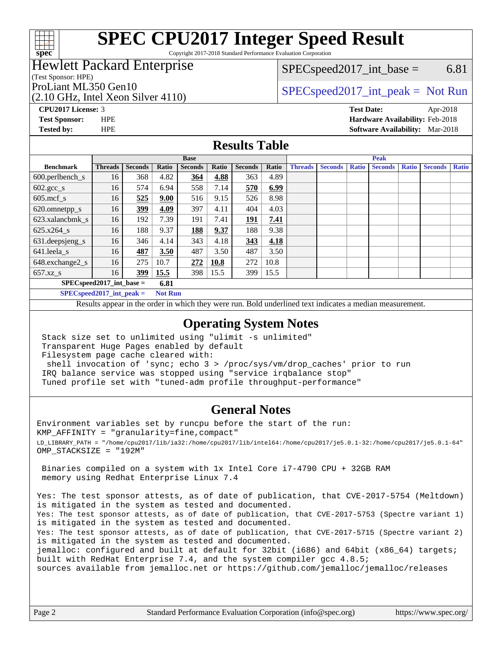

Copyright 2017-2018 Standard Performance Evaluation Corporation

### Hewlett Packard Enterprise

(Test Sponsor: HPE)

(2.10 GHz, Intel Xeon Silver 4110)

 $SPEC speed2017\_int\_base =$  6.81

### ProLiant ML350 Gen10  $SPEC speed2017\_int\_peak = Not Run$

**[CPU2017 License:](http://www.spec.org/auto/cpu2017/Docs/result-fields.html#CPU2017License)** 3 **[Test Date:](http://www.spec.org/auto/cpu2017/Docs/result-fields.html#TestDate)** Apr-2018 **[Test Sponsor:](http://www.spec.org/auto/cpu2017/Docs/result-fields.html#TestSponsor)** HPE **[Hardware Availability:](http://www.spec.org/auto/cpu2017/Docs/result-fields.html#HardwareAvailability)** Feb-2018 **[Tested by:](http://www.spec.org/auto/cpu2017/Docs/result-fields.html#Testedby)** HPE **[Software Availability:](http://www.spec.org/auto/cpu2017/Docs/result-fields.html#SoftwareAvailability)** Mar-2018

### **[Results Table](http://www.spec.org/auto/cpu2017/Docs/result-fields.html#ResultsTable)**

|                              | <b>Base</b>    |                |       | <b>Peak</b>    |       |                |       |                |                |              |                |              |                |              |
|------------------------------|----------------|----------------|-------|----------------|-------|----------------|-------|----------------|----------------|--------------|----------------|--------------|----------------|--------------|
| <b>Benchmark</b>             | <b>Threads</b> | <b>Seconds</b> | Ratio | <b>Seconds</b> | Ratio | <b>Seconds</b> | Ratio | <b>Threads</b> | <b>Seconds</b> | <b>Ratio</b> | <b>Seconds</b> | <b>Ratio</b> | <b>Seconds</b> | <b>Ratio</b> |
| $600.$ perlbench_s           | 16             | 368            | 4.82  | <u>364</u>     | 4.88  | 363            | 4.89  |                |                |              |                |              |                |              |
| $602.\text{gcc}\sspace_s$    | 16             | 574            | 6.94  | 558            | 7.14  | 570            | 6.99  |                |                |              |                |              |                |              |
| $605$ .mcf s                 | 16             | 525            | 9.00  | 516            | 9.15  | 526            | 8.98  |                |                |              |                |              |                |              |
| 620.omnetpp_s                | 16             | 399            | 4.09  | 397            | 4.11  | 404            | 4.03  |                |                |              |                |              |                |              |
| 623.xalancbmk s              | 16             | 192            | 7.39  | 191            | 7.41  | <b>191</b>     | 7.41  |                |                |              |                |              |                |              |
| 625.x264 s                   | 16             | 188            | 9.37  | 188            | 9.37  | 188            | 9.38  |                |                |              |                |              |                |              |
| 631.deepsjeng_s              | 16             | 346            | 4.14  | 343            | 4.18  | 343            | 4.18  |                |                |              |                |              |                |              |
| $641$ .leela_s               | 16             | 487            | 3.50  | 487            | 3.50  | 487            | 3.50  |                |                |              |                |              |                |              |
| 648.exchange2_s              | 16             | 275            | 10.7  | 272            | 10.8  | 272            | 10.8  |                |                |              |                |              |                |              |
| $657.xz$ s                   | 16             | 399            | 15.5  | 398            | 15.5  | 399            | 15.5  |                |                |              |                |              |                |              |
| $SPECspeed2017\_int\_base =$ |                |                | 6.81  |                |       |                |       |                |                |              |                |              |                |              |

**[SPECspeed2017\\_int\\_peak =](http://www.spec.org/auto/cpu2017/Docs/result-fields.html#SPECspeed2017intpeak) Not Run**

Results appear in the [order in which they were run.](http://www.spec.org/auto/cpu2017/Docs/result-fields.html#RunOrder) Bold underlined text [indicates a median measurement.](http://www.spec.org/auto/cpu2017/Docs/result-fields.html#Median)

#### **[Operating System Notes](http://www.spec.org/auto/cpu2017/Docs/result-fields.html#OperatingSystemNotes)**

 Stack size set to unlimited using "ulimit -s unlimited" Transparent Huge Pages enabled by default Filesystem page cache cleared with:

 shell invocation of 'sync; echo 3 > /proc/sys/vm/drop\_caches' prior to run IRQ balance service was stopped using "service irqbalance stop" Tuned profile set with "tuned-adm profile throughput-performance"

#### **[General Notes](http://www.spec.org/auto/cpu2017/Docs/result-fields.html#GeneralNotes)**

Environment variables set by runcpu before the start of the run: KMP\_AFFINITY = "granularity=fine,compact" LD\_LIBRARY\_PATH = "/home/cpu2017/lib/ia32:/home/cpu2017/lib/intel64:/home/cpu2017/je5.0.1-32:/home/cpu2017/je5.0.1-64" OMP\_STACKSIZE = "192M"

 Binaries compiled on a system with 1x Intel Core i7-4790 CPU + 32GB RAM memory using Redhat Enterprise Linux 7.4

Yes: The test sponsor attests, as of date of publication, that CVE-2017-5754 (Meltdown) is mitigated in the system as tested and documented. Yes: The test sponsor attests, as of date of publication, that CVE-2017-5753 (Spectre variant 1) is mitigated in the system as tested and documented. Yes: The test sponsor attests, as of date of publication, that CVE-2017-5715 (Spectre variant 2) is mitigated in the system as tested and documented. jemalloc: configured and built at default for 32bit (i686) and 64bit (x86\_64) targets; built with RedHat Enterprise 7.4, and the system compiler gcc 4.8.5;

sources available from jemalloc.net or <https://github.com/jemalloc/jemalloc/releases>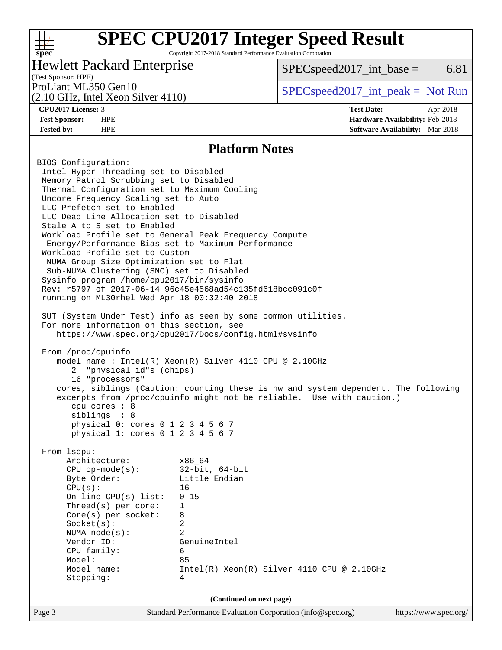Copyright 2017-2018 Standard Performance Evaluation Corporation

### Hewlett Packard Enterprise

 $SPEC speed2017\_int\_base =$  6.81

### (Test Sponsor: HPE)

(2.10 GHz, Intel Xeon Silver 4110)

ProLiant ML350 Gen10  $SPEC speed2017\_int\_peak = Not Run$ 

**[spec](http://www.spec.org/)**

 $+\!\!+\!\!$ 

**[CPU2017 License:](http://www.spec.org/auto/cpu2017/Docs/result-fields.html#CPU2017License)** 3 **[Test Date:](http://www.spec.org/auto/cpu2017/Docs/result-fields.html#TestDate)** Apr-2018 **[Test Sponsor:](http://www.spec.org/auto/cpu2017/Docs/result-fields.html#TestSponsor)** HPE **[Hardware Availability:](http://www.spec.org/auto/cpu2017/Docs/result-fields.html#HardwareAvailability)** Feb-2018 **[Tested by:](http://www.spec.org/auto/cpu2017/Docs/result-fields.html#Testedby)** HPE **[Software Availability:](http://www.spec.org/auto/cpu2017/Docs/result-fields.html#SoftwareAvailability)** Mar-2018

#### **[Platform Notes](http://www.spec.org/auto/cpu2017/Docs/result-fields.html#PlatformNotes)**

Page 3 Standard Performance Evaluation Corporation [\(info@spec.org\)](mailto:info@spec.org) <https://www.spec.org/> BIOS Configuration: Intel Hyper-Threading set to Disabled Memory Patrol Scrubbing set to Disabled Thermal Configuration set to Maximum Cooling Uncore Frequency Scaling set to Auto LLC Prefetch set to Enabled LLC Dead Line Allocation set to Disabled Stale A to S set to Enabled Workload Profile set to General Peak Frequency Compute Energy/Performance Bias set to Maximum Performance Workload Profile set to Custom NUMA Group Size Optimization set to Flat Sub-NUMA Clustering (SNC) set to Disabled Sysinfo program /home/cpu2017/bin/sysinfo Rev: r5797 of 2017-06-14 96c45e4568ad54c135fd618bcc091c0f running on ML30rhel Wed Apr 18 00:32:40 2018 SUT (System Under Test) info as seen by some common utilities. For more information on this section, see <https://www.spec.org/cpu2017/Docs/config.html#sysinfo> From /proc/cpuinfo model name : Intel(R) Xeon(R) Silver 4110 CPU @ 2.10GHz 2 "physical id"s (chips) 16 "processors" cores, siblings (Caution: counting these is hw and system dependent. The following excerpts from /proc/cpuinfo might not be reliable. Use with caution.) cpu cores : 8 siblings : 8 physical 0: cores 0 1 2 3 4 5 6 7 physical 1: cores 0 1 2 3 4 5 6 7 From lscpu: Architecture: x86\_64 CPU op-mode(s): 32-bit, 64-bit Byte Order: Little Endian CPU(s): 16 On-line CPU(s) list: 0-15 Thread(s) per core: 1 Core(s) per socket: 8 Socket(s): 2 NUMA node(s): 2 Vendor ID: GenuineIntel CPU family: 6 Model: 85 Model name: Intel(R) Xeon(R) Silver 4110 CPU @ 2.10GHz Stepping: 4 **(Continued on next page)**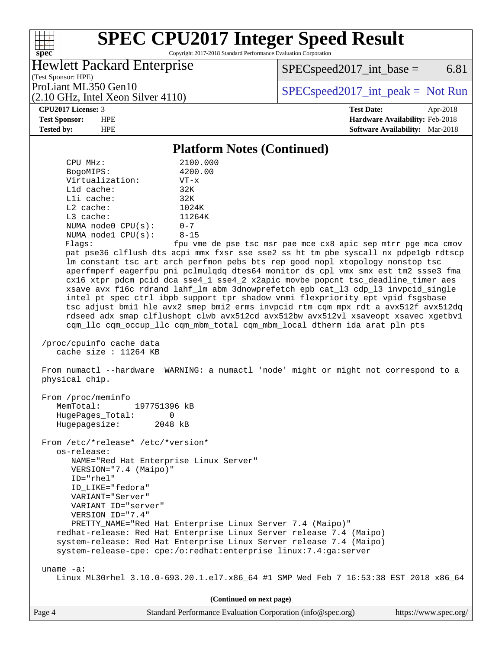Copyright 2017-2018 Standard Performance Evaluation Corporation

### Hewlett Packard Enterprise

 $SPECspeed2017\_int\_base =$  6.81

(Test Sponsor: HPE) (2.10 GHz, Intel Xeon Silver 4110)

ProLiant ML350 Gen10  $SPEC speed2017\_int\_peak = Not Run$ 

#### **[CPU2017 License:](http://www.spec.org/auto/cpu2017/Docs/result-fields.html#CPU2017License)** 3 **[Test Date:](http://www.spec.org/auto/cpu2017/Docs/result-fields.html#TestDate)** Apr-2018

**[spec](http://www.spec.org/)**

**[Test Sponsor:](http://www.spec.org/auto/cpu2017/Docs/result-fields.html#TestSponsor)** HPE **[Hardware Availability:](http://www.spec.org/auto/cpu2017/Docs/result-fields.html#HardwareAvailability)** Feb-2018

**[Tested by:](http://www.spec.org/auto/cpu2017/Docs/result-fields.html#Testedby)** HPE **[Software Availability:](http://www.spec.org/auto/cpu2017/Docs/result-fields.html#SoftwareAvailability)** Mar-2018

#### **[Platform Notes \(Continued\)](http://www.spec.org/auto/cpu2017/Docs/result-fields.html#PlatformNotes)**

| CPU MHz:<br>4200.00<br>BogoMIPS:<br>Virtualization:<br>$VT - x$<br>L1d cache:<br>32K<br>Lli cache:<br>32K<br>L2 cache:<br>1024K<br>L3 cache:<br>11264K<br>$0 - 7$<br>NUMA $node0$ $CPU(s):$<br>NUMA node1 CPU(s):<br>$8 - 15$<br>Flagg: | 2100.000<br>fpu vme de pse tsc msr pae mce cx8 apic sep mtrr pge mca cmov<br>pat pse36 clflush dts acpi mmx fxsr sse sse2 ss ht tm pbe syscall nx pdpelgb rdtscp<br>lm constant_tsc art arch_perfmon pebs bts rep_good nopl xtopology nonstop_tsc<br>aperfmperf eagerfpu pni pclmulqdq dtes64 monitor ds_cpl vmx smx est tm2 ssse3 fma<br>cx16 xtpr pdcm pcid dca sse4_1 sse4_2 x2apic movbe popcnt tsc_deadline_timer aes<br>xsave avx f16c rdrand lahf_lm abm 3dnowprefetch epb cat_13 cdp_13 invpcid_single<br>intel_pt spec_ctrl ibpb_support tpr_shadow vnmi flexpriority ept vpid fsgsbase<br>tsc_adjust bmil hle avx2 smep bmi2 erms invpcid rtm cqm mpx rdt_a avx512f avx512dq<br>rdseed adx smap clflushopt clwb avx512cd avx512bw avx512vl xsaveopt xsavec xgetbvl |
|-----------------------------------------------------------------------------------------------------------------------------------------------------------------------------------------------------------------------------------------|------------------------------------------------------------------------------------------------------------------------------------------------------------------------------------------------------------------------------------------------------------------------------------------------------------------------------------------------------------------------------------------------------------------------------------------------------------------------------------------------------------------------------------------------------------------------------------------------------------------------------------------------------------------------------------------------------------------------------------------------------------------------------|
|                                                                                                                                                                                                                                         | cqm_llc cqm_occup_llc cqm_mbm_total cqm_mbm_local dtherm ida arat pln pts                                                                                                                                                                                                                                                                                                                                                                                                                                                                                                                                                                                                                                                                                                    |
| /proc/cpuinfo cache data<br>cache size : 11264 KB                                                                                                                                                                                       |                                                                                                                                                                                                                                                                                                                                                                                                                                                                                                                                                                                                                                                                                                                                                                              |
| physical chip.                                                                                                                                                                                                                          | From numactl --hardware WARNING: a numactl 'node' might or might not correspond to a                                                                                                                                                                                                                                                                                                                                                                                                                                                                                                                                                                                                                                                                                         |
| From /proc/meminfo<br>MemTotal:<br>197751396 kB<br>HugePages_Total:<br>0<br>Hugepagesize: 2048 kB                                                                                                                                       |                                                                                                                                                                                                                                                                                                                                                                                                                                                                                                                                                                                                                                                                                                                                                                              |
| From /etc/*release* /etc/*version*                                                                                                                                                                                                      |                                                                                                                                                                                                                                                                                                                                                                                                                                                                                                                                                                                                                                                                                                                                                                              |
| os-release:<br>NAME="Red Hat Enterprise Linux Server"<br>VERSION="7.4 (Maipo)"<br>ID="rhel"<br>ID LIKE="fedora"<br>VARIANT="Server"<br>VARIANT ID="server"<br>VERSION_ID="7.4"                                                          |                                                                                                                                                                                                                                                                                                                                                                                                                                                                                                                                                                                                                                                                                                                                                                              |
|                                                                                                                                                                                                                                         | PRETTY_NAME="Red Hat Enterprise Linux Server 7.4 (Maipo)"                                                                                                                                                                                                                                                                                                                                                                                                                                                                                                                                                                                                                                                                                                                    |
|                                                                                                                                                                                                                                         | redhat-release: Red Hat Enterprise Linux Server release 7.4 (Maipo)                                                                                                                                                                                                                                                                                                                                                                                                                                                                                                                                                                                                                                                                                                          |
|                                                                                                                                                                                                                                         | system-release: Red Hat Enterprise Linux Server release 7.4 (Maipo)<br>system-release-cpe: cpe:/o:redhat:enterprise_linux:7.4:ga:server                                                                                                                                                                                                                                                                                                                                                                                                                                                                                                                                                                                                                                      |
|                                                                                                                                                                                                                                         |                                                                                                                                                                                                                                                                                                                                                                                                                                                                                                                                                                                                                                                                                                                                                                              |
| uname $-a$ :                                                                                                                                                                                                                            |                                                                                                                                                                                                                                                                                                                                                                                                                                                                                                                                                                                                                                                                                                                                                                              |
|                                                                                                                                                                                                                                         | Linux ML30rhel 3.10.0-693.20.1.el7.x86_64 #1 SMP Wed Feb 7 16:53:38 EST 2018 x86_64                                                                                                                                                                                                                                                                                                                                                                                                                                                                                                                                                                                                                                                                                          |
|                                                                                                                                                                                                                                         | (Continued on next page)                                                                                                                                                                                                                                                                                                                                                                                                                                                                                                                                                                                                                                                                                                                                                     |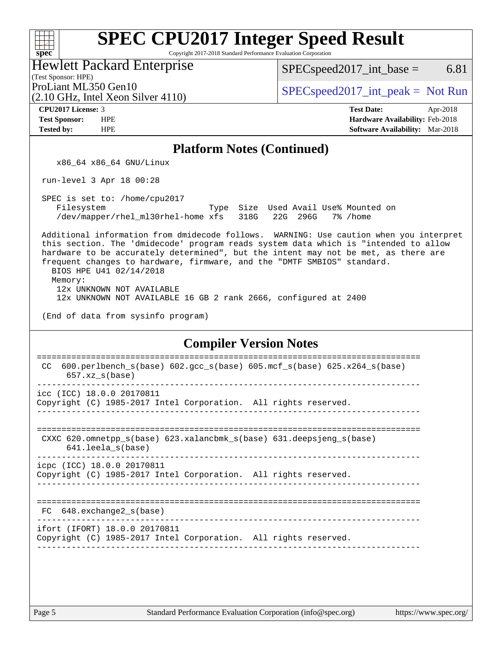Copyright 2017-2018 Standard Performance Evaluation Corporation

Hewlett Packard Enterprise

(2.10 GHz, Intel Xeon Silver 4110)

 $SPEC speed2017\_int\_base =$  6.81

(Test Sponsor: HPE)

ProLiant ML350 Gen10  $SPEC speed2017\_int\_peak = Not Run$ 

**[spec](http://www.spec.org/)**

 $\pm\pm\prime$ 

**[Tested by:](http://www.spec.org/auto/cpu2017/Docs/result-fields.html#Testedby)** HPE **[Software Availability:](http://www.spec.org/auto/cpu2017/Docs/result-fields.html#SoftwareAvailability)** Mar-2018

**[CPU2017 License:](http://www.spec.org/auto/cpu2017/Docs/result-fields.html#CPU2017License)** 3 **[Test Date:](http://www.spec.org/auto/cpu2017/Docs/result-fields.html#TestDate)** Apr-2018 **[Test Sponsor:](http://www.spec.org/auto/cpu2017/Docs/result-fields.html#TestSponsor)** HPE **[Hardware Availability:](http://www.spec.org/auto/cpu2017/Docs/result-fields.html#HardwareAvailability)** Feb-2018

### **[Platform Notes \(Continued\)](http://www.spec.org/auto/cpu2017/Docs/result-fields.html#PlatformNotes)**

x86\_64 x86\_64 GNU/Linux

run-level 3 Apr 18 00:28

 SPEC is set to: /home/cpu2017 Filesystem Type Size Used Avail Use% Mounted on /dev/mapper/rhel\_ml30rhel-home xfs 318G 22G 296G 7% /home

 Additional information from dmidecode follows. WARNING: Use caution when you interpret this section. The 'dmidecode' program reads system data which is "intended to allow hardware to be accurately determined", but the intent may not be met, as there are frequent changes to hardware, firmware, and the "DMTF SMBIOS" standard. BIOS HPE U41 02/14/2018

Memory:

12x UNKNOWN NOT AVAILABLE

12x UNKNOWN NOT AVAILABLE 16 GB 2 rank 2666, configured at 2400

(End of data from sysinfo program)

#### **[Compiler Version Notes](http://www.spec.org/auto/cpu2017/Docs/result-fields.html#CompilerVersionNotes)**

| $600. perlbench_s(base) 602.gcc_s(base) 605.mcf_s(base) 625.x264_s(base)$<br>CC.<br>$657.xz$ s(base) |
|------------------------------------------------------------------------------------------------------|
| icc (ICC) 18.0.0 20170811<br>Copyright (C) 1985-2017 Intel Corporation. All rights reserved.         |
| CXXC 620.omnetpp $s(base)$ 623.xalancbmk $s(base)$ 631.deepsjeng $s(base)$<br>641.leela s(base)      |
| icpc (ICC) 18.0.0 20170811<br>Copyright (C) 1985-2017 Intel Corporation. All rights reserved.        |
| $FC$ 648. exchange 2 $s$ (base)                                                                      |
| ifort (IFORT) 18.0.0 20170811<br>Copyright (C) 1985-2017 Intel Corporation. All rights reserved.     |
|                                                                                                      |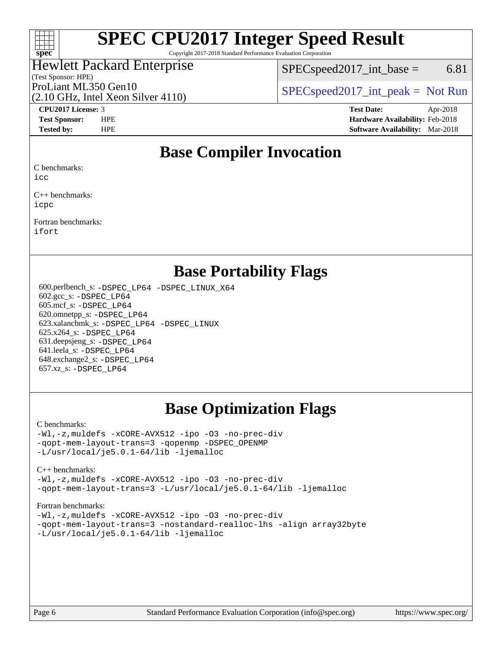

Copyright 2017-2018 Standard Performance Evaluation Corporation

### Hewlett Packard Enterprise

(Test Sponsor: HPE)

 $SPEC speed2017\_int\_base =$  6.81

(2.10 GHz, Intel Xeon Silver 4110)

ProLiant ML350 Gen10  $SPEC speed2017\_int\_peak = Not Run$ 

**[CPU2017 License:](http://www.spec.org/auto/cpu2017/Docs/result-fields.html#CPU2017License)** 3 **[Test Date:](http://www.spec.org/auto/cpu2017/Docs/result-fields.html#TestDate)** Apr-2018 **[Test Sponsor:](http://www.spec.org/auto/cpu2017/Docs/result-fields.html#TestSponsor)** HPE **[Hardware Availability:](http://www.spec.org/auto/cpu2017/Docs/result-fields.html#HardwareAvailability)** Feb-2018 **[Tested by:](http://www.spec.org/auto/cpu2017/Docs/result-fields.html#Testedby)** HPE **[Software Availability:](http://www.spec.org/auto/cpu2017/Docs/result-fields.html#SoftwareAvailability)** Mar-2018

## **[Base Compiler Invocation](http://www.spec.org/auto/cpu2017/Docs/result-fields.html#BaseCompilerInvocation)**

[C benchmarks:](http://www.spec.org/auto/cpu2017/Docs/result-fields.html#Cbenchmarks)

[icc](http://www.spec.org/cpu2017/results/res2018q3/cpu2017-20180625-07312.flags.html#user_CCbase_intel_icc_18.0_66fc1ee009f7361af1fbd72ca7dcefbb700085f36577c54f309893dd4ec40d12360134090235512931783d35fd58c0460139e722d5067c5574d8eaf2b3e37e92)

[C++ benchmarks](http://www.spec.org/auto/cpu2017/Docs/result-fields.html#CXXbenchmarks): [icpc](http://www.spec.org/cpu2017/results/res2018q3/cpu2017-20180625-07312.flags.html#user_CXXbase_intel_icpc_18.0_c510b6838c7f56d33e37e94d029a35b4a7bccf4766a728ee175e80a419847e808290a9b78be685c44ab727ea267ec2f070ec5dc83b407c0218cded6866a35d07)

[Fortran benchmarks:](http://www.spec.org/auto/cpu2017/Docs/result-fields.html#Fortranbenchmarks)

[ifort](http://www.spec.org/cpu2017/results/res2018q3/cpu2017-20180625-07312.flags.html#user_FCbase_intel_ifort_18.0_8111460550e3ca792625aed983ce982f94888b8b503583aa7ba2b8303487b4d8a21a13e7191a45c5fd58ff318f48f9492884d4413fa793fd88dd292cad7027ca)

### **[Base Portability Flags](http://www.spec.org/auto/cpu2017/Docs/result-fields.html#BasePortabilityFlags)**

 600.perlbench\_s: [-DSPEC\\_LP64](http://www.spec.org/cpu2017/results/res2018q3/cpu2017-20180625-07312.flags.html#b600.perlbench_s_basePORTABILITY_DSPEC_LP64) [-DSPEC\\_LINUX\\_X64](http://www.spec.org/cpu2017/results/res2018q3/cpu2017-20180625-07312.flags.html#b600.perlbench_s_baseCPORTABILITY_DSPEC_LINUX_X64) 602.gcc\_s: [-DSPEC\\_LP64](http://www.spec.org/cpu2017/results/res2018q3/cpu2017-20180625-07312.flags.html#suite_basePORTABILITY602_gcc_s_DSPEC_LP64) 605.mcf\_s: [-DSPEC\\_LP64](http://www.spec.org/cpu2017/results/res2018q3/cpu2017-20180625-07312.flags.html#suite_basePORTABILITY605_mcf_s_DSPEC_LP64) 620.omnetpp\_s: [-DSPEC\\_LP64](http://www.spec.org/cpu2017/results/res2018q3/cpu2017-20180625-07312.flags.html#suite_basePORTABILITY620_omnetpp_s_DSPEC_LP64) 623.xalancbmk\_s: [-DSPEC\\_LP64](http://www.spec.org/cpu2017/results/res2018q3/cpu2017-20180625-07312.flags.html#suite_basePORTABILITY623_xalancbmk_s_DSPEC_LP64) [-DSPEC\\_LINUX](http://www.spec.org/cpu2017/results/res2018q3/cpu2017-20180625-07312.flags.html#b623.xalancbmk_s_baseCXXPORTABILITY_DSPEC_LINUX) 625.x264\_s: [-DSPEC\\_LP64](http://www.spec.org/cpu2017/results/res2018q3/cpu2017-20180625-07312.flags.html#suite_basePORTABILITY625_x264_s_DSPEC_LP64) 631.deepsjeng\_s: [-DSPEC\\_LP64](http://www.spec.org/cpu2017/results/res2018q3/cpu2017-20180625-07312.flags.html#suite_basePORTABILITY631_deepsjeng_s_DSPEC_LP64) 641.leela\_s: [-DSPEC\\_LP64](http://www.spec.org/cpu2017/results/res2018q3/cpu2017-20180625-07312.flags.html#suite_basePORTABILITY641_leela_s_DSPEC_LP64) 648.exchange2\_s: [-DSPEC\\_LP64](http://www.spec.org/cpu2017/results/res2018q3/cpu2017-20180625-07312.flags.html#suite_basePORTABILITY648_exchange2_s_DSPEC_LP64) 657.xz\_s: [-DSPEC\\_LP64](http://www.spec.org/cpu2017/results/res2018q3/cpu2017-20180625-07312.flags.html#suite_basePORTABILITY657_xz_s_DSPEC_LP64)

## **[Base Optimization Flags](http://www.spec.org/auto/cpu2017/Docs/result-fields.html#BaseOptimizationFlags)**

#### [C benchmarks](http://www.spec.org/auto/cpu2017/Docs/result-fields.html#Cbenchmarks):

[-Wl,-z,muldefs](http://www.spec.org/cpu2017/results/res2018q3/cpu2017-20180625-07312.flags.html#user_CCbase_link_force_multiple1_b4cbdb97b34bdee9ceefcfe54f4c8ea74255f0b02a4b23e853cdb0e18eb4525ac79b5a88067c842dd0ee6996c24547a27a4b99331201badda8798ef8a743f577) [-xCORE-AVX512](http://www.spec.org/cpu2017/results/res2018q3/cpu2017-20180625-07312.flags.html#user_CCbase_f-xCORE-AVX512) [-ipo](http://www.spec.org/cpu2017/results/res2018q3/cpu2017-20180625-07312.flags.html#user_CCbase_f-ipo) [-O3](http://www.spec.org/cpu2017/results/res2018q3/cpu2017-20180625-07312.flags.html#user_CCbase_f-O3) [-no-prec-div](http://www.spec.org/cpu2017/results/res2018q3/cpu2017-20180625-07312.flags.html#user_CCbase_f-no-prec-div) [-qopt-mem-layout-trans=3](http://www.spec.org/cpu2017/results/res2018q3/cpu2017-20180625-07312.flags.html#user_CCbase_f-qopt-mem-layout-trans_de80db37974c74b1f0e20d883f0b675c88c3b01e9d123adea9b28688d64333345fb62bc4a798493513fdb68f60282f9a726aa07f478b2f7113531aecce732043) [-qopenmp](http://www.spec.org/cpu2017/results/res2018q3/cpu2017-20180625-07312.flags.html#user_CCbase_qopenmp_16be0c44f24f464004c6784a7acb94aca937f053568ce72f94b139a11c7c168634a55f6653758ddd83bcf7b8463e8028bb0b48b77bcddc6b78d5d95bb1df2967) [-DSPEC\\_OPENMP](http://www.spec.org/cpu2017/results/res2018q3/cpu2017-20180625-07312.flags.html#suite_CCbase_DSPEC_OPENMP) [-L/usr/local/je5.0.1-64/lib](http://www.spec.org/cpu2017/results/res2018q3/cpu2017-20180625-07312.flags.html#user_CCbase_jemalloc_link_path64_4b10a636b7bce113509b17f3bd0d6226c5fb2346b9178c2d0232c14f04ab830f976640479e5c33dc2bcbbdad86ecfb6634cbbd4418746f06f368b512fced5394) [-ljemalloc](http://www.spec.org/cpu2017/results/res2018q3/cpu2017-20180625-07312.flags.html#user_CCbase_jemalloc_link_lib_d1249b907c500fa1c0672f44f562e3d0f79738ae9e3c4a9c376d49f265a04b9c99b167ecedbf6711b3085be911c67ff61f150a17b3472be731631ba4d0471706)

#### [C++ benchmarks:](http://www.spec.org/auto/cpu2017/Docs/result-fields.html#CXXbenchmarks)

[-Wl,-z,muldefs](http://www.spec.org/cpu2017/results/res2018q3/cpu2017-20180625-07312.flags.html#user_CXXbase_link_force_multiple1_b4cbdb97b34bdee9ceefcfe54f4c8ea74255f0b02a4b23e853cdb0e18eb4525ac79b5a88067c842dd0ee6996c24547a27a4b99331201badda8798ef8a743f577) [-xCORE-AVX512](http://www.spec.org/cpu2017/results/res2018q3/cpu2017-20180625-07312.flags.html#user_CXXbase_f-xCORE-AVX512) [-ipo](http://www.spec.org/cpu2017/results/res2018q3/cpu2017-20180625-07312.flags.html#user_CXXbase_f-ipo) [-O3](http://www.spec.org/cpu2017/results/res2018q3/cpu2017-20180625-07312.flags.html#user_CXXbase_f-O3) [-no-prec-div](http://www.spec.org/cpu2017/results/res2018q3/cpu2017-20180625-07312.flags.html#user_CXXbase_f-no-prec-div) [-qopt-mem-layout-trans=3](http://www.spec.org/cpu2017/results/res2018q3/cpu2017-20180625-07312.flags.html#user_CXXbase_f-qopt-mem-layout-trans_de80db37974c74b1f0e20d883f0b675c88c3b01e9d123adea9b28688d64333345fb62bc4a798493513fdb68f60282f9a726aa07f478b2f7113531aecce732043) [-L/usr/local/je5.0.1-64/lib](http://www.spec.org/cpu2017/results/res2018q3/cpu2017-20180625-07312.flags.html#user_CXXbase_jemalloc_link_path64_4b10a636b7bce113509b17f3bd0d6226c5fb2346b9178c2d0232c14f04ab830f976640479e5c33dc2bcbbdad86ecfb6634cbbd4418746f06f368b512fced5394) [-ljemalloc](http://www.spec.org/cpu2017/results/res2018q3/cpu2017-20180625-07312.flags.html#user_CXXbase_jemalloc_link_lib_d1249b907c500fa1c0672f44f562e3d0f79738ae9e3c4a9c376d49f265a04b9c99b167ecedbf6711b3085be911c67ff61f150a17b3472be731631ba4d0471706)

#### [Fortran benchmarks](http://www.spec.org/auto/cpu2017/Docs/result-fields.html#Fortranbenchmarks):

[-Wl,-z,muldefs](http://www.spec.org/cpu2017/results/res2018q3/cpu2017-20180625-07312.flags.html#user_FCbase_link_force_multiple1_b4cbdb97b34bdee9ceefcfe54f4c8ea74255f0b02a4b23e853cdb0e18eb4525ac79b5a88067c842dd0ee6996c24547a27a4b99331201badda8798ef8a743f577) [-xCORE-AVX512](http://www.spec.org/cpu2017/results/res2018q3/cpu2017-20180625-07312.flags.html#user_FCbase_f-xCORE-AVX512) [-ipo](http://www.spec.org/cpu2017/results/res2018q3/cpu2017-20180625-07312.flags.html#user_FCbase_f-ipo) [-O3](http://www.spec.org/cpu2017/results/res2018q3/cpu2017-20180625-07312.flags.html#user_FCbase_f-O3) [-no-prec-div](http://www.spec.org/cpu2017/results/res2018q3/cpu2017-20180625-07312.flags.html#user_FCbase_f-no-prec-div) [-qopt-mem-layout-trans=3](http://www.spec.org/cpu2017/results/res2018q3/cpu2017-20180625-07312.flags.html#user_FCbase_f-qopt-mem-layout-trans_de80db37974c74b1f0e20d883f0b675c88c3b01e9d123adea9b28688d64333345fb62bc4a798493513fdb68f60282f9a726aa07f478b2f7113531aecce732043) [-nostandard-realloc-lhs](http://www.spec.org/cpu2017/results/res2018q3/cpu2017-20180625-07312.flags.html#user_FCbase_f_2003_std_realloc_82b4557e90729c0f113870c07e44d33d6f5a304b4f63d4c15d2d0f1fab99f5daaed73bdb9275d9ae411527f28b936061aa8b9c8f2d63842963b95c9dd6426b8a) [-align array32byte](http://www.spec.org/cpu2017/results/res2018q3/cpu2017-20180625-07312.flags.html#user_FCbase_align_array32byte_b982fe038af199962ba9a80c053b8342c548c85b40b8e86eb3cc33dee0d7986a4af373ac2d51c3f7cf710a18d62fdce2948f201cd044323541f22fc0fffc51b6) [-L/usr/local/je5.0.1-64/lib](http://www.spec.org/cpu2017/results/res2018q3/cpu2017-20180625-07312.flags.html#user_FCbase_jemalloc_link_path64_4b10a636b7bce113509b17f3bd0d6226c5fb2346b9178c2d0232c14f04ab830f976640479e5c33dc2bcbbdad86ecfb6634cbbd4418746f06f368b512fced5394) [-ljemalloc](http://www.spec.org/cpu2017/results/res2018q3/cpu2017-20180625-07312.flags.html#user_FCbase_jemalloc_link_lib_d1249b907c500fa1c0672f44f562e3d0f79738ae9e3c4a9c376d49f265a04b9c99b167ecedbf6711b3085be911c67ff61f150a17b3472be731631ba4d0471706)